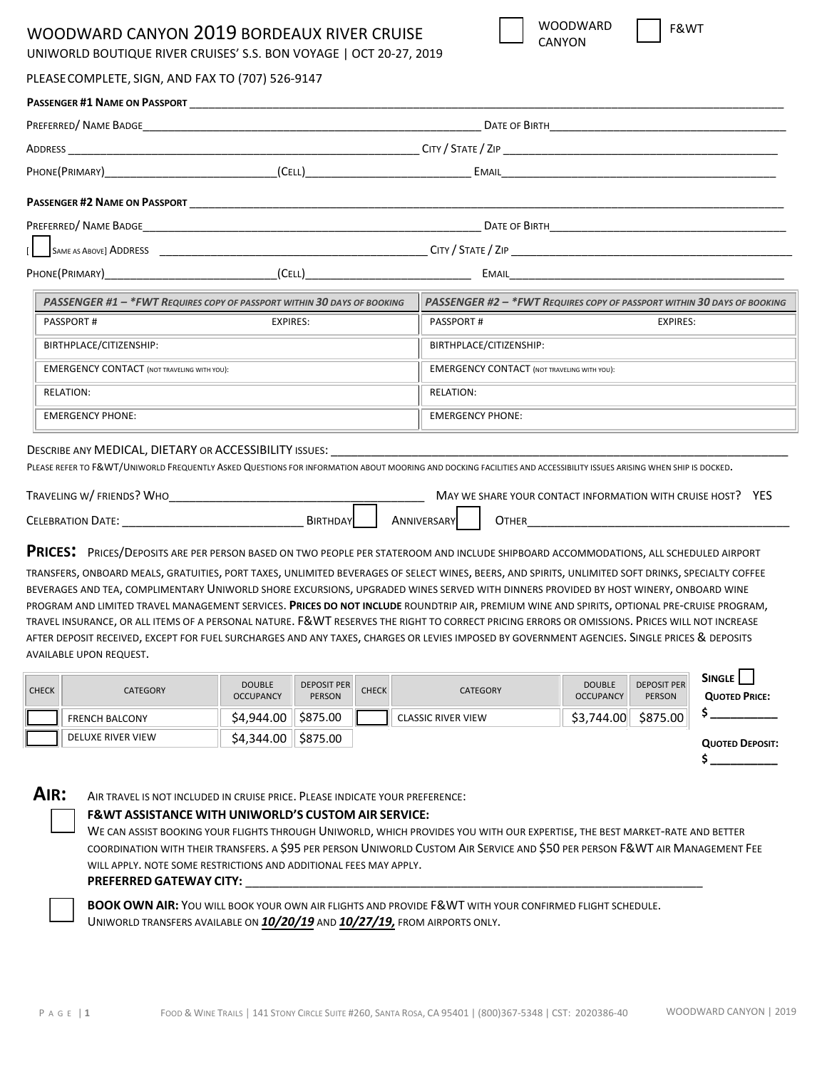# WOODWARD CANYON 2019 BORDEAUX RIVER CRUISE

UNIWORLD BOUTIQUE RIVER CRUISES' S.S. BON VOYAGE | OCT 20-27, 2019

| PASSENGER #1 NAME ON PASSPORT                      |                                                                                                                                                                     |                                                    |                                                                         |  |  |  |
|----------------------------------------------------|---------------------------------------------------------------------------------------------------------------------------------------------------------------------|----------------------------------------------------|-------------------------------------------------------------------------|--|--|--|
|                                                    |                                                                                                                                                                     |                                                    |                                                                         |  |  |  |
|                                                    |                                                                                                                                                                     |                                                    |                                                                         |  |  |  |
|                                                    | PHONE(PRIMARY) (CELL)                                                                                                                                               |                                                    |                                                                         |  |  |  |
|                                                    |                                                                                                                                                                     |                                                    |                                                                         |  |  |  |
|                                                    |                                                                                                                                                                     |                                                    |                                                                         |  |  |  |
|                                                    |                                                                                                                                                                     |                                                    |                                                                         |  |  |  |
|                                                    |                                                                                                                                                                     |                                                    |                                                                         |  |  |  |
|                                                    | PASSENGER #1 - *FWT REQUIRES COPY OF PASSPORT WITHIN 30 DAYS OF BOOKING                                                                                             |                                                    | PASSENGER #2 - *FWT REQUIRES COPY OF PASSPORT WITHIN 30 DAYS OF BOOKING |  |  |  |
| <b>PASSPORT#</b>                                   | <b>EXPIRES:</b>                                                                                                                                                     | PASSPORT#                                          | <b>EXPIRES:</b>                                                         |  |  |  |
| BIRTHPLACE/CITIZENSHIP:                            |                                                                                                                                                                     | BIRTHPLACE/CITIZENSHIP:                            |                                                                         |  |  |  |
| <b>EMERGENCY CONTACT (NOT TRAVELING WITH YOU):</b> |                                                                                                                                                                     | <b>EMERGENCY CONTACT (NOT TRAVELING WITH YOU):</b> |                                                                         |  |  |  |
| <b>RELATION:</b>                                   |                                                                                                                                                                     | <b>RELATION:</b>                                   |                                                                         |  |  |  |
| <b>EMERGENCY PHONE:</b>                            |                                                                                                                                                                     | <b>EMERGENCY PHONE:</b>                            |                                                                         |  |  |  |
|                                                    | DESCRIBE ANY MEDICAL, DIETARY OR ACCESSIBILITY ISSUES: THE STATE OF STATE OF STATE ORDER THE STATE OF STATE OR                                                      |                                                    |                                                                         |  |  |  |
|                                                    | PLEASE REFER TO F&WT/UNIWORLD FREQUENTLY ASKED QUESTIONS FOR INFORMATION ABOUT MOORING AND DOCKING FACILITIES AND ACCESSIBILITY ISSUES ARISING WHEN SHIP IS DOCKED. |                                                    |                                                                         |  |  |  |
|                                                    |                                                                                                                                                                     |                                                    | MAY WE SHARE YOUR CONTACT INFORMATION WITH CRUISE HOST? YES             |  |  |  |
|                                                    | CELEBRATION DATE: BIRTHDAY                                                                                                                                          | ANNIVERSARY<br>OTHER                               |                                                                         |  |  |  |

TRANSFERS, ONBOARD MEALS, GRATUITIES, PORT TAXES, UNLIMITED BEVERAGES OF SELECT WINES, BEERS, AND SPIRITS, UNLIMITED SOFT DRINKS, SPECIALTY COFFEE BEVERAGES AND TEA, COMPLIMENTARY UNIWORLD SHORE EXCURSIONS, UPGRADED WINES SERVED WITH DINNERS PROVIDED BY HOST WINERY, ONBOARD WINE PROGRAM AND LIMITED TRAVEL MANAGEMENT SERVICES. **PRICES DO NOT INCLUDE** ROUNDTRIP AIR, PREMIUM WINE AND SPIRITS, OPTIONAL PRE‐CRUISE PROGRAM, TRAVEL INSURANCE, OR ALL ITEMS OF A PERSONAL NATURE. F&WT RESERVES THE RIGHT TO CORRECT PRICING ERRORS OR OMISSIONS. PRICES WILL NOT INCREASE AFTER DEPOSIT RECEIVED, EXCEPT FOR FUEL SURCHARGES AND ANY TAXES, CHARGES OR LEVIES IMPOSED BY GOVERNMENT AGENCIES. SINGLE PRICES & DEPOSITS AVAILABLE UPON REQUEST.

| <b>CHECK</b> | <b>CATEGORY</b>       | <b>DOUBLE</b><br><b>OCCUPANCY</b> | <b>DEPOSIT PER</b><br><b>PERSON</b> | <b>CHECK</b> | <b>CATEGORY</b>           | <b>DOUBLE</b><br><b>OCCUPANCY</b> | <b>DEPOSIT PER</b><br><b>PERSON</b> | <b>SINGLE</b> I<br><b>QUOTED PRICE:</b> |
|--------------|-----------------------|-----------------------------------|-------------------------------------|--------------|---------------------------|-----------------------------------|-------------------------------------|-----------------------------------------|
|              | <b>FRENCH BALCONY</b> | \$4,944.00                        | \$875.00                            |              | <b>CLASSIC RIVER VIEW</b> | \$3,744.00                        | \$875.00                            |                                         |
|              | DELUXE RIVER VIEW     | S4.344.00                         | S875.00                             |              |                           |                                   |                                     | <b>QUOTED DEPOSIT:</b>                  |

AIR: AIR TRAVEL IS NOT INCLUDED IN CRUISE PRICE. PLEASE INDICATE YOUR PREFERENCE:

#### **F&WT ASSISTANCE WITH UNIWORLD'S CUSTOM AIR SERVICE:**

WE CAN ASSIST BOOKING YOUR FLIGHTS THROUGH UNIWORLD, WHICH PROVIDES YOU WITH OUR EXPERTISE, THE BEST MARKET‐RATE AND BETTER COORDINATION WITH THEIR TRANSFERS. A \$95 PER PERSON UNIWORLD CUSTOM AIR SERVICE AND \$50 PER PERSON F&WT AIR MANAGEMENT FEE WILL APPLY. NOTE SOME RESTRICTIONS AND ADDITIONAL FEES MAY APPLY.

#### **PREFERRED GATEWAY CITY:** \_\_\_\_\_\_\_\_\_\_\_\_\_\_\_\_\_\_\_\_\_\_\_\_\_\_\_\_\_\_\_\_\_\_\_\_\_\_\_\_\_\_\_\_\_\_\_\_\_\_\_\_\_\_\_\_\_\_\_\_\_\_\_\_\_\_\_\_

**BOOK OWN AIR:** YOU WILL BOOK YOUR OWN AIR FLIGHTS AND PROVIDE F&WT WITH YOUR CONFIRMED FLIGHT SCHEDULE. UNIWORLD TRANSFERS AVAILABLE ON *10/20/19* AND *10/27/19,* FROM AIRPORTS ONLY.

**\$ \_\_\_\_\_\_\_\_\_\_**

WOODWARD **CANYON**